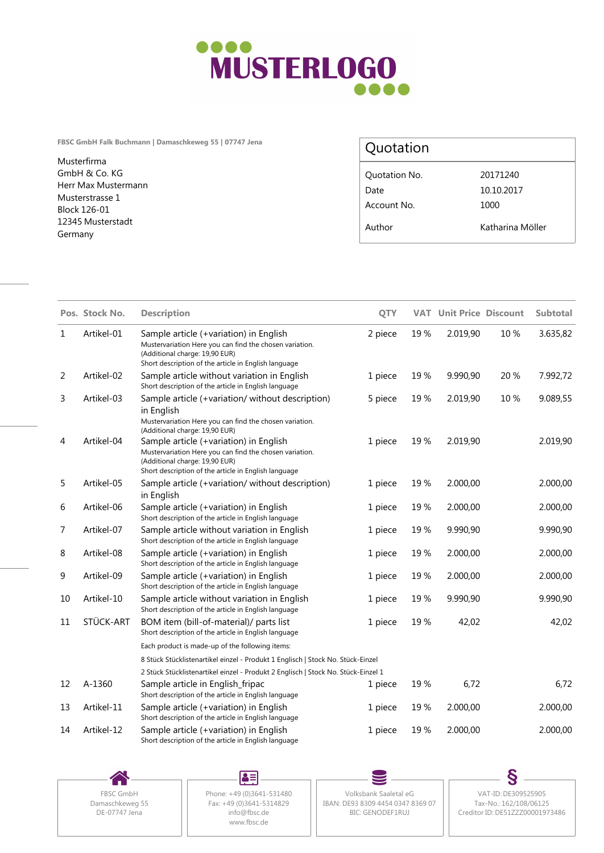

**FBSC GmbH Falk Buchmann | Damaschkeweg 55 | 07747 Jena**

Musterfirma GmbH & Co. KG Herr Max Mustermann Musterstrasse 1 Block 126-01 12345 Musterstadt Germany

## Quotation

| Quotation No. | 20171240         |
|---------------|------------------|
| Date          | 10.10.2017       |
| Account No.   | 1000             |
| Author        | Katharina Möller |

|    | Pos. Stock No. | <b>Description</b>                                                                                                                                                                          | <b>OTY</b> |     | <b>VAT Unit Price Discount</b> |      | <b>Subtotal</b> |
|----|----------------|---------------------------------------------------------------------------------------------------------------------------------------------------------------------------------------------|------------|-----|--------------------------------|------|-----------------|
| 1  | Artikel-01     | Sample article (+variation) in English<br>Mustervariation Here you can find the chosen variation.<br>(Additional charge: 19,90 EUR)<br>Short description of the article in English language | 2 piece    | 19% | 2.019,90                       | 10 % | 3.635,82        |
| 2  | Artikel-02     | Sample article without variation in English<br>Short description of the article in English language                                                                                         | 1 piece    | 19% | 9.990,90                       | 20 % | 7.992,72        |
| 3  | Artikel-03     | Sample article (+variation/ without description)<br>in English<br>Mustervariation Here you can find the chosen variation.<br>(Additional charge: 19,90 EUR)                                 | 5 piece    | 19% | 2.019,90                       | 10%  | 9.089,55        |
| 4  | Artikel-04     | Sample article (+variation) in English<br>Mustervariation Here you can find the chosen variation.<br>(Additional charge: 19,90 EUR)<br>Short description of the article in English language | 1 piece    | 19% | 2.019,90                       |      | 2.019,90        |
| 5  | Artikel-05     | Sample article (+variation/ without description)<br>in English                                                                                                                              | 1 piece    | 19% | 2.000,00                       |      | 2.000,00        |
| 6  | Artikel-06     | Sample article (+variation) in English<br>Short description of the article in English language                                                                                              | 1 piece    | 19% | 2.000,00                       |      | 2.000,00        |
| 7  | Artikel-07     | Sample article without variation in English<br>Short description of the article in English language                                                                                         | 1 piece    | 19% | 9.990,90                       |      | 9.990,90        |
| 8  | Artikel-08     | Sample article (+variation) in English<br>Short description of the article in English language                                                                                              | 1 piece    | 19% | 2.000,00                       |      | 2.000,00        |
| 9  | Artikel-09     | Sample article (+variation) in English<br>Short description of the article in English language                                                                                              | 1 piece    | 19% | 2.000,00                       |      | 2.000,00        |
| 10 | Artikel-10     | Sample article without variation in English<br>Short description of the article in English language                                                                                         | 1 piece    | 19% | 9.990,90                       |      | 9.990,90        |
| 11 | STÜCK-ART      | BOM item (bill-of-material)/ parts list<br>Short description of the article in English language                                                                                             | 1 piece    | 19% | 42,02                          |      | 42,02           |
|    |                | Each product is made-up of the following items:                                                                                                                                             |            |     |                                |      |                 |
|    |                | 8 Stück Stücklistenartikel einzel - Produkt 1 Englisch   Stock No. Stück-Einzel                                                                                                             |            |     |                                |      |                 |
|    |                | 2 Stück Stücklistenartikel einzel - Produkt 2 Englisch   Stock No. Stück-Einzel 1                                                                                                           |            |     |                                |      |                 |
| 12 | A-1360         | Sample article in English_fripac<br>Short description of the article in English language                                                                                                    | 1 piece    | 19% | 6,72                           |      | 6,72            |
| 13 | Artikel-11     | Sample article (+variation) in English<br>Short description of the article in English language                                                                                              | 1 piece    | 19% | 2.000,00                       |      | 2.000,00        |
| 14 | Artikel-12     | Sample article (+variation) in English<br>Short description of the article in English language                                                                                              | 1 piece    | 19% | 2.000,00                       |      | 2.000,00        |



 $\blacktriangle\equiv$ Damaschkeweg 55<br>DE-07747 Jena<br>
The Communication of the CDS43-5314829<br>
The CDS43-5314829<br>
The CDS4-5314829 www.fbsc.de

FBSC GmbH | Phone: +49 (0)3641-531480 | Volksbank Saaletal eG Fax: +49 (0)3641-5314829 || IBAN: DE93 8309 4454 0347 8369 07 || Tax-No.: 162/108/06125 info@fbsc.de BIC: GENODEF1RUJ

S Volksbank Saaletal eG VAT-ID: DE309525905 Tax-No.: 162/108/06125 Creditor ID: DE51ZZZ00001973486